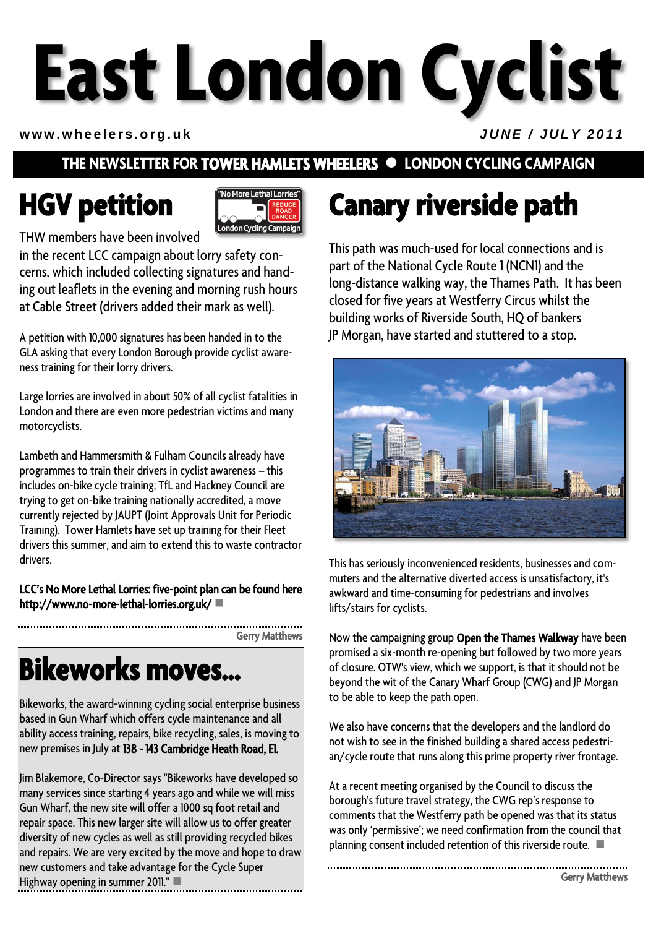# **East London Cyclist**

#### www.wheelers.org.uk *JUNE / JULY 2011*

### **THE NEWSLETTER FOR TOWER HAMLETS WHEELERS LONDON CYCLING CAMPAIGN**

# **HGV petition**



THW members have been involved

in the recent LCC campaign about lorry safety concerns, which included collecting signatures and handing out leaflets in the evening and morning rush hours at Cable Street (drivers added their mark as well).

A petition with 10,000 signatures has been handed in to the GLA asking that every London Borough provide cyclist awareness training for their lorry drivers.

Large lorries are involved in about 50% of all cyclist fatalities in London and there are even more pedestrian victims and many motorcyclists.

Lambeth and Hammersmith & Fulham Councils already have programmes to train their drivers in cyclist awareness – this includes on-bike cycle training; TfL and Hackney Council are trying to get on-bike training nationally accredited, a move currently rejected by JAUPT (Joint Approvals Unit for Periodic Training). Tower Hamlets have set up training for their Fleet drivers this summer, and aim to extend this to waste contractor drivers.

LCC's No More Lethal Lorries: five-point plan can be found here http://www.no-more-lethal-lorries.org.uk/

> ........................ Gerry Matthews

# **Bikeworks moves...**

Bikeworks, the award-winning cycling social enterprise business based in Gun Wharf which offers cycle maintenance and all ability access training, repairs, bike recycling, sales, is moving to new premises in July at 138 - 143 Cambridge Heath Road, E1.

Jim Blakemore, Co-Director says "Bikeworks have developed so many services since starting 4 years ago and while we will miss Gun Wharf, the new site will offer a 1000 sq foot retail and repair space. This new larger site will allow us to offer greater diversity of new cycles as well as still providing recycled bikes and repairs. We are very excited by the move and hope to draw new customers and take advantage for the Cycle Super Highway opening in summer 2011." 

# **Canary riverside path**

This path was much-used for local connections and is part of the National Cycle Route 1 (NCN1) and the long-distance walking way, the Thames Path. It has been closed for five years at Westferry Circus whilst the building works of Riverside South, HQ of bankers JP Morgan, have started and stuttered to a stop.



This has seriously inconvenienced residents, businesses and commuters and the alternative diverted access is unsatisfactory, it's awkward and time-consuming for pedestrians and involves lifts/stairs for cyclists.

Now the campaigning group Open the Thames Walkway have been promised a six-month re-opening but followed by two more years of closure. OTW's view, which we support, is that it should not be beyond the wit of the Canary Wharf Group (CWG) and JP Morgan to be able to keep the path open.

We also have concerns that the developers and the landlord do not wish to see in the finished building a shared access pedestrian/cycle route that runs along this prime property river frontage.

At a recent meeting organised by the Council to discuss the borough's future travel strategy, the CWG rep's response to comments that the Westferry path be opened was that its status was only 'permissive'; we need confirmation from the council that planning consent included retention of this riverside route.

Gerry Matthews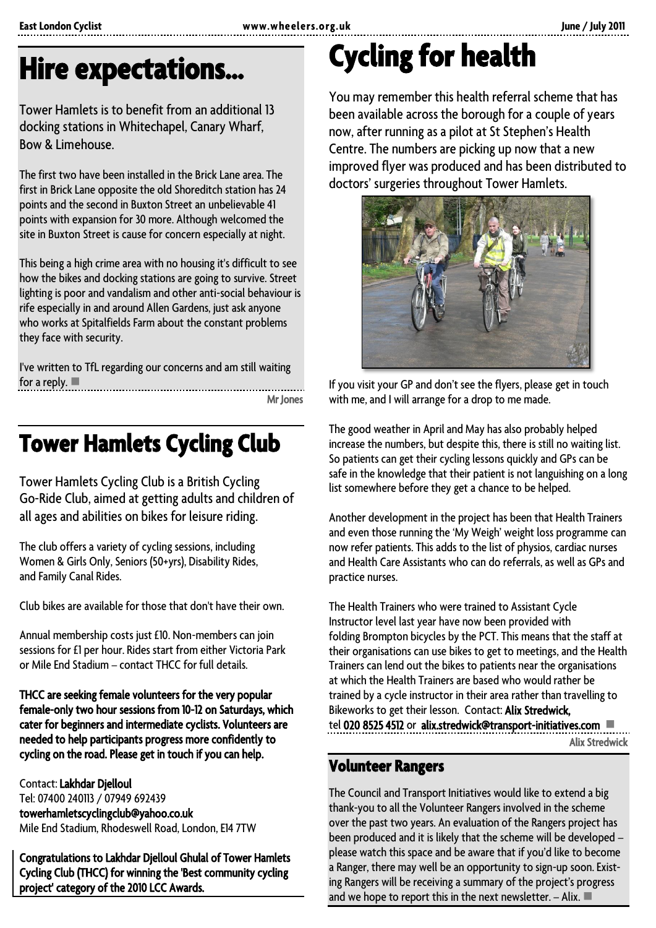# **Hire expectations…**

Tower Hamlets is to benefit from an additional 13 docking stations in Whitechapel, Canary Wharf, Bow & Limehouse.

The first two have been installed in the Brick Lane area. The first in Brick Lane opposite the old Shoreditch station has 24 points and the second in Buxton Street an unbelievable 41 points with expansion for 30 more. Although welcomed the site in Buxton Street is cause for concern especially at night.

This being a high crime area with no housing it's difficult to see how the bikes and docking stations are going to survive. Street lighting is poor and vandalism and other anti-social behaviour is rife especially in and around Allen Gardens, just ask anyone who works at Spitalfields Farm about the constant problems they face with security.

I've written to TfL regarding our concerns and am still waiting for a reply.  $\blacksquare$ 

Mr Jones

# **Tower Hamlets Cycling Club**

Tower Hamlets Cycling Club is a British Cycling Go-Ride Club, aimed at getting adults and children of all ages and abilities on bikes for leisure riding.

The club offers a variety of cycling sessions, including Women & Girls Only, Seniors (50+yrs), Disability Rides, and Family Canal Rides.

Club bikes are available for those that don't have their own.

Annual membership costs just £10. Non-members can join sessions for £1 per hour. Rides start from either Victoria Park or Mile End Stadium – contact THCC for full details.

#### THCC are seeking female volunteers for the very popular female-only two hour sessions from 10-12 on Saturdays, which cater for beginners and intermediate cyclists. Volunteers are needed to help participants progress more confidently to cycling on the road. Please get in touch if you can help.

Contact: Lakhdar Djelloul Tel: 07400 240113 / 07949 692439 towerhamletscyclingclub@yahoo.co.uk Mile End Stadium, Rhodeswell Road, London, E14 7TW

Congratulations to Lakhdar Djelloul Ghulal of Tower Hamlets Cycling Club (THCC) for winning the 'Best community cycling project' category of the 2010 LCC Awards.

# **Cycling for health**

You may remember this health referral scheme that has been available across the borough for a couple of years now, after running as a pilot at St Stephen's Health Centre. The numbers are picking up now that a new improved flyer was produced and has been distributed to doctors' surgeries throughout Tower Hamlets.



If you visit your GP and don't see the flyers, please get in touch with me, and I will arrange for a drop to me made.

The good weather in April and May has also probably helped increase the numbers, but despite this, there is still no waiting list. So patients can get their cycling lessons quickly and GPs can be safe in the knowledge that their patient is not languishing on a long list somewhere before they get a chance to be helped.

Another development in the project has been that Health Trainers and even those running the 'My Weigh' weight loss programme can now refer patients. This adds to the list of physios, cardiac nurses and Health Care Assistants who can do referrals, as well as GPs and practice nurses.

The Health Trainers who were trained to Assistant Cycle Instructor level last year have now been provided with folding Brompton bicycles by the PCT. This means that the staff at their organisations can use bikes to get to meetings, and the Health Trainers can lend out the bikes to patients near the organisations at which the Health Trainers are based who would rather be trained by a cycle instructor in their area rather than travelling to Bikeworks to get their lesson. Contact: Alix Stredwick, tel 020 8525 4512 or alix.stredwick@transport-initiatives.com Alix Stredwick

#### **Volunteer Rangers**

The Council and Transport Initiatives would like to extend a big thank-you to all the Volunteer Rangers involved in the scheme over the past two years. An evaluation of the Rangers project has been produced and it is likely that the scheme will be developed – please watch this space and be aware that if you'd like to become a Ranger, there may well be an opportunity to sign-up soon. Existing Rangers will be receiving a summary of the project's progress and we hope to report this in the next newsletter.  $-$  Alix.  $\blacksquare$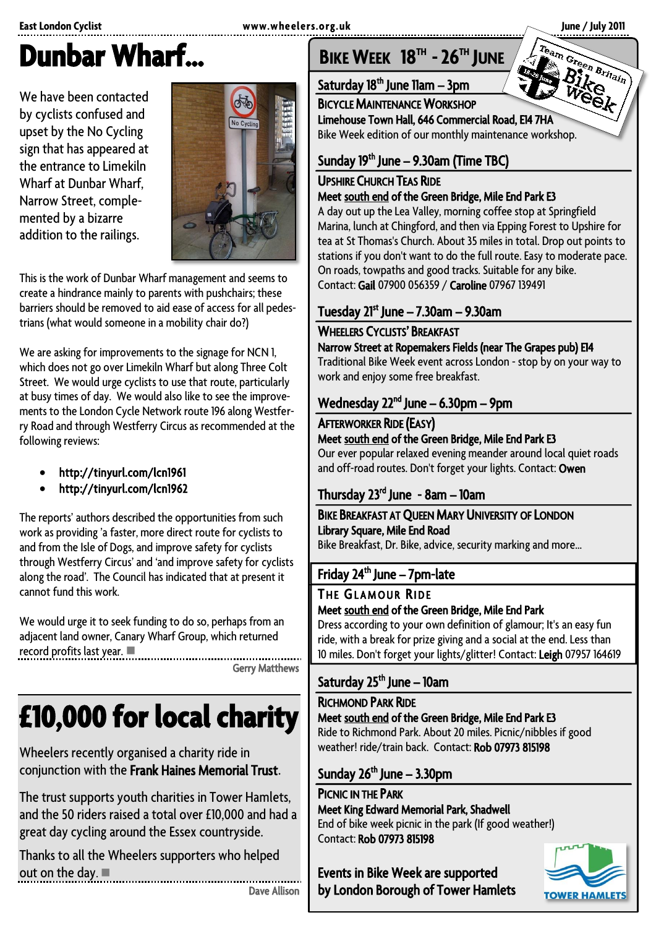Britain

# **Dunbar Wharf…**

We have been contacted by cyclists confused and upset by the No Cycling sign that has appeared at the entrance to Limekiln Wharf at Dunbar Wharf, Narrow Street, complemented by a bizarre addition to the railings.



This is the work of Dunbar Wharf management and seems to create a hindrance mainly to parents with pushchairs; these barriers should be removed to aid ease of access for all pedestrians (what would someone in a mobility chair do?)

We are asking for improvements to the signage for NCN 1, which does not go over Limekiln Wharf but along Three Colt Street. We would urge cyclists to use that route, particularly at busy times of day. We would also like to see the improvements to the London Cycle Network route 196 along Westferry Road and through Westferry Circus as recommended at the following reviews:

- http://tinyurl.com/lcn1961
- http://tinyurl.com/lcn1962

The reports' authors described the opportunities from such work as providing 'a faster, more direct route for cyclists to and from the Isle of Dogs, and improve safety for cyclists through Westferry Circus' and 'and improve safety for cyclists along the road'. The Council has indicated that at present it cannot fund this work.

We would urge it to seek funding to do so, perhaps from an adjacent land owner, Canary Wharf Group, which returned record profits last year. 

Gerry Matthews

# **£10,000 for local charity**

Wheelers recently organised a charity ride in conjunction with the Frank Haines Memorial Trust.

The trust supports youth charities in Tower Hamlets, and the 50 riders raised a total over £10,000 and had a great day cycling around the Essex countryside.

Thanks to all the Wheelers supporters who helped out on the day.  $\blacksquare$ 

Dave Allison

# **BIKE WEEK 18TH -26TH JUNE**

Saturday 18<sup>th</sup> June 11am - 3pm

BICYCLE MAINTENANCE WORKSHOP Limehouse Town Hall, 646 Commercial Road, E14 7HA Bike Week edition of our monthly maintenance workshop.

### Sunday 19<sup>th</sup> June – 9.30am (Time TBC)

#### UPSHIRE CHURCH TEAS RIDE Meet south end of the Green Bridge, Mile End Park E3

A day out up the Lea Valley, morning coffee stop at Springfield Marina, lunch at Chingford, and then via Epping Forest to Upshire for tea at St Thomas's Church. About 35 miles in total. Drop out points to stations if you don't want to do the full route. Easy to moderate pace. On roads, towpaths and good tracks. Suitable for any bike. Contact: Gail 07900 056359 / Caroline 07967 139491

### Tuesday 21<sup>st</sup> June – 7.30am – 9.30am

#### WHEELERS CYCLISTS' BREAKFAST

Narrow Street at Ropemakers Fields (near The Grapes pub) E14 Traditional Bike Week event across London - stop by on your way to work and enjoy some free breakfast.

### Wednesday 22<sup>nd</sup> June – 6.30pm – 9pm

#### AFTERWORKER RIDE (EASY) Meet south end of the Green Bridge, Mile End Park E3

Our ever popular relaxed evening meander around local quiet roads and off-road routes. Don't forget your lights. Contact: Owen

### Thursday 23<sup>rd</sup> June - 8am - 10am

#### BIKE BREAKFAST AT QUEEN MARY UNIVERSITY OF LONDON Library Square, Mile End Road

Bike Breakfast, Dr. Bike, advice, security marking and more…

### Friday 24<sup>th</sup> June – 7pm-late

#### **THE GLAMOUR RIDE**

#### Meet south end of the Green Bridge, Mile End Park

Dress according to your own definition of glamour; It's an easy fun ride, with a break for prize giving and a social at the end. Less than 10 miles. Don't forget your lights/glitter! Contact: Leigh 07957 164619

### Saturday 25<sup>th</sup> June – 10am

### RICHMOND PARK RIDE

Meet south end of the Green Bridge, Mile End Park E3 Ride to Richmond Park. About 20 miles. Picnic/nibbles if good weather! ride/train back. Contact: Rob 07973 815198

### Sunday 26<sup>th</sup> June – 3.30pm

#### PICNIC IN THE PARK Meet King Edward Memorial Park, Shadwell End of bike week picnic in the park (If good weather!) Contact: Rob 07973 815198

#### Events in Bike Week are supported by London Borough of Tower Hamlets